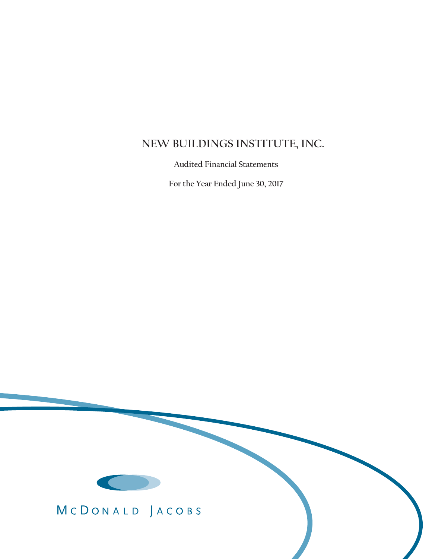# **NEW BUILDINGS INSTITUTE, INC.**

 **Audited Financial Statements** 

 **For the Year Ended June 30, 2017** 



MCDONALD JACOBS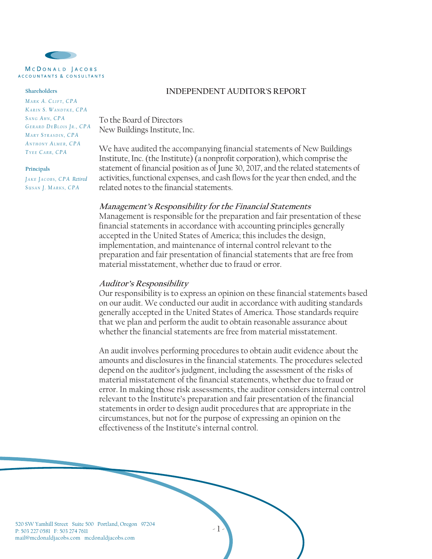

MCDONALD JACOBS ACCOUNTANTS & CONSULTANTS

#### **Shareholders**

*MA <sup>R</sup> K A. CL <sup>I</sup> <sup>F</sup> <sup>T</sup> , CPA KA R I N S . WA N D T K E , CPA S A N G A H N , CPA GE R A R D DE B L O I S J R . , CPA MA <sup>R</sup> Y S <sup>T</sup> <sup>R</sup> <sup>A</sup> <sup>S</sup> <sup>D</sup> <sup>I</sup> <sup>N</sup> , CPA A <sup>N</sup> <sup>T</sup> <sup>H</sup> <sup>O</sup> <sup>N</sup> Y AL <sup>M</sup> <sup>E</sup> <sup>R</sup> , CPA T Y E E C A R R , CPA*

#### **Principals**

 $J$  *AKE*  $J$  *ACOBS*, *CPA Retired S U S A N J. MA R K S , CPA*

#### **INDEPENDENT AUDITOR'S REPORT**

To the Board of Directors New Buildings Institute, Inc.

We have audited the accompanying financial statements of New Buildings Institute, Inc. (the Institute) (a nonprofit corporation), which comprise the statement of financial position as of June 30, 2017, and the related statements of activities, functional expenses, and cash flows for the year then ended, and the related notes to the financial statements.

#### **Management's Responsibility for the Financial Statements**

Management is responsible for the preparation and fair presentation of these financial statements in accordance with accounting principles generally accepted in the United States of America; this includes the design, implementation, and maintenance of internal control relevant to the preparation and fair presentation of financial statements that are free from material misstatement, whether due to fraud or error.

#### **Auditor's Responsibility**

Our responsibility is to express an opinion on these financial statements based on our audit. We conducted our audit in accordance with auditing standards generally accepted in the United States of America. Those standards require that we plan and perform the audit to obtain reasonable assurance about whether the financial statements are free from material misstatement.

An audit involves performing procedures to obtain audit evidence about the amounts and disclosures in the financial statements. The procedures selected depend on the auditor's judgment, including the assessment of the risks of material misstatement of the financial statements, whether due to fraud or error. In making those risk assessments, the auditor considers internal control relevant to the Institute's preparation and fair presentation of the financial statements in order to design audit procedures that are appropriate in the circumstances, but not for the purpose of expressing an opinion on the effectiveness of the Institute's internal control.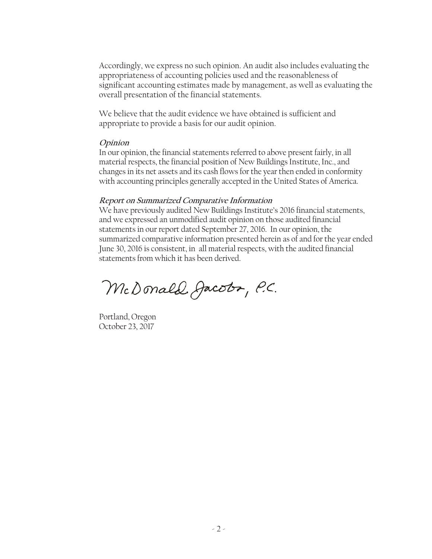Accordingly, we express no such opinion. An audit also includes evaluating the appropriateness of accounting policies used and the reasonableness of significant accounting estimates made by management, as well as evaluating the overall presentation of the financial statements.

We believe that the audit evidence we have obtained is sufficient and appropriate to provide a basis for our audit opinion.

# **Opinion**

In our opinion, the financial statements referred to above present fairly, in all material respects, the financial position of New Buildings Institute, Inc., and changes in its net assets and its cash flows for the year then ended in conformity with accounting principles generally accepted in the United States of America.

# **Report on Summarized Comparative Information**

We have previously audited New Buildings Institute's 2016 financial statements, and we expressed an unmodified audit opinion on those audited financial statements in our report dated September 27, 2016. In our opinion, the summarized comparative information presented herein as of and for the year ended June 30, 2016 is consistent, in all material respects, with the audited financial statements from which it has been derived.

McDonald Jacobr, P.C.

Portland, Oregon October 23, 2017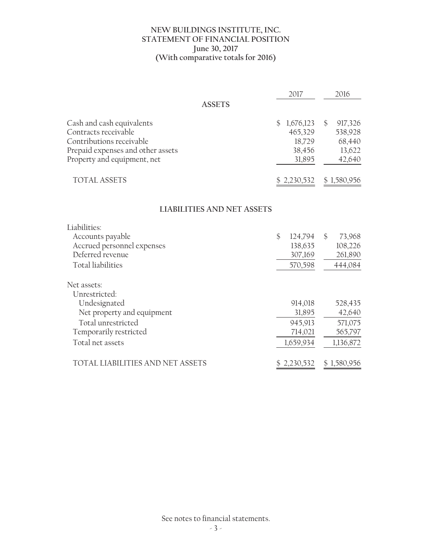#### **NEW BUILDINGS INSTITUTE, INC. STATEMENT OF FINANCIAL POSITION June 30, 2017 (With comparative totals for 2016)**

|                                                                                                                                                   | 2017                                                      | 2016                                                              |
|---------------------------------------------------------------------------------------------------------------------------------------------------|-----------------------------------------------------------|-------------------------------------------------------------------|
| <b>ASSETS</b>                                                                                                                                     |                                                           |                                                                   |
| Cash and cash equivalents<br>Contracts receivable<br>Contributions receivable<br>Prepaid expenses and other assets<br>Property and equipment, net | 1,676,123<br>\$.<br>465,329<br>18,729<br>38,456<br>31,895 | $\mathcal{S}$<br>917,326<br>538,928<br>68,440<br>13,622<br>42,640 |
| <b>TOTAL ASSETS</b>                                                                                                                               | \$2,230,532                                               | \$1,580,956                                                       |
| <b>LIABILITIES AND NET ASSETS</b>                                                                                                                 |                                                           |                                                                   |
| Liabilities:                                                                                                                                      |                                                           |                                                                   |
| Accounts payable<br>Accrued personnel expenses<br>Deferred revenue<br><b>Total liabilities</b>                                                    | $\mathcal{S}$<br>124,794<br>138,635<br>307,169<br>570,598 | $\mathcal{S}$<br>73,968<br>108,226<br>261,890<br>444,084          |
| Net assets:                                                                                                                                       |                                                           |                                                                   |
| Unrestricted:<br>Undesignated<br>Net property and equipment<br>Total unrestricted<br>Temporarily restricted<br>Total net assets                   | 914,018<br>31,895<br>945,913<br>714,021<br>1,659,934      | 528,435<br>42,640<br>571,075<br>565,797<br>1,136,872              |
| TOTAL LIABILITIES AND NET ASSETS                                                                                                                  | \$2,230,532                                               | \$1,580,956                                                       |

See notes to financial statements.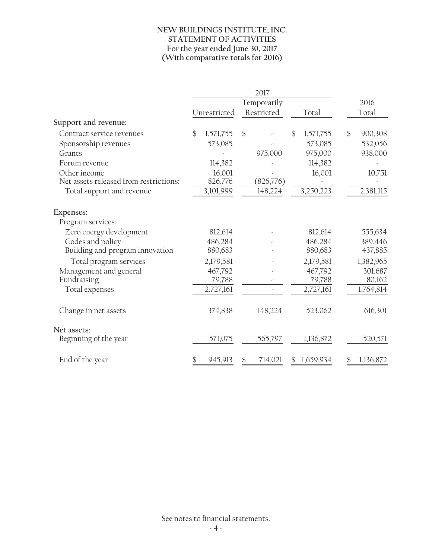### **NEW BUILDINGS INSTITUTE, INC. STATEMENT OF ACTIVITIES For the year ended June 30, 2017 (With comparative totals for 2016)**

|                                        |                 | 2017          |                 |               |
|----------------------------------------|-----------------|---------------|-----------------|---------------|
|                                        |                 | Temporarily   |                 | 2016          |
|                                        | Unrestricted    | Restricted    | Total           | Total         |
| Support and revenue:                   |                 |               |                 |               |
| Contract service revenues              | \$<br>1,571,755 | \$            | \$<br>1,571,755 | \$<br>900,308 |
| Sponsorship revenues                   | 573,085         |               | 573,085         | 532,056       |
| Grants                                 |                 | 975,000       | 975,000         | 938,000       |
| Forum revenue                          | 114,382         |               | 114,382         |               |
| Other income                           | 16,001          |               | 16,001          | 10,751        |
| Net assets released from restrictions: | 826,776         | (826,776)     |                 |               |
| Total support and revenue              | 3,101,999       | 148,224       | 3,250,223       | 2,381,115     |
| Expenses:                              |                 |               |                 |               |
| Program services:                      |                 |               |                 |               |
| Zero energy development                | 812,614         |               | 812,614         | 555,634       |
| Codes and policy                       | 486,284         |               | 486,284         | 389,446       |
| Building and program innovation        | 880,683         |               | 880,683         | 437,885       |
| Total program services                 | 2,179,581       |               | 2,179,581       | 1,382,965     |
| Management and general                 | 467,792         |               | 467,792         | 301,687       |
| Fundraising                            | 79,788          |               | 79,788          | 80,162        |
| Total expenses                         | 2,727,161       |               | 2,727,161       | 1,764,814     |
| Change in net assets                   | 374,838         | 148,224       | 523,062         | 616,301       |
| Net assets:                            |                 |               |                 |               |
| Beginning of the year                  | 571,075         | 565,797       | 1,136,872       | 520,571       |
| End of the year                        | \$<br>945,913   | \$<br>714,021 | \$<br>1,659,934 | 1,136,872     |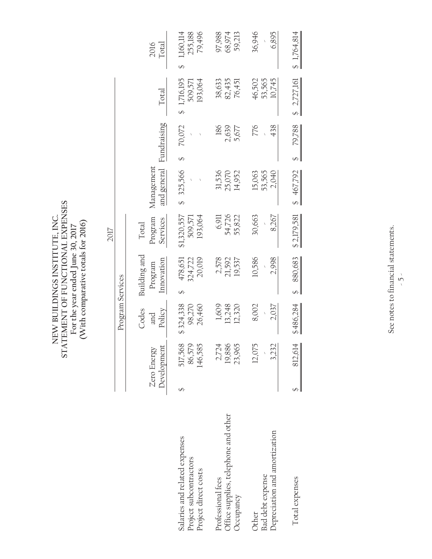NEW BUILDINGS INSTITUTE, INC.<br>STATEMENT OF FUNCTIONAL EXPENSES<br>For the year ended June 30, 2017<br>(With comparative totals for 2016) **STATEMENT OF FUNCTIONAL EXPENSES NEW BUILDINGS INSTITUTE, INC. (With comparative totals for 2016)For the year ended June 30, 2017**

|                                                                                 |                              | Program Services              |                                       | 2017                              |                            |                       |                                   |                                |
|---------------------------------------------------------------------------------|------------------------------|-------------------------------|---------------------------------------|-----------------------------------|----------------------------|-----------------------|-----------------------------------|--------------------------------|
|                                                                                 | Development<br>Zero Energy   | Codes<br>Policy<br>and        | Building and<br>Innovation<br>Program | Program<br>Services<br>Total      | Management<br>and general  | Fundraising           | Total                             | Total<br>2016                  |
| Salaries and related expenses<br>Project subcontractors<br>Project direct costs | 517,568<br>86,579<br>146,585 | \$324,338<br>26,460<br>98,270 | 20,019<br>324,722<br>478,651          | \$1,320,557<br>193,064<br>509,571 | 325,566                    | 70,072                | \$1,716,195<br>193,064<br>509,571 | 79,496<br>255,188<br>1,160,114 |
| Office supplies, telephone and other<br>Professional fees<br>Occupancy          | 19,886<br>2,724<br>23,965    | 13,248<br>1,609<br>12,320     | 2,578<br>21,592<br>19,537             | 54,726<br>55,822<br>6,911         | 31,536<br>14,952<br>25,070 | 186<br>2,639<br>5,677 | 82,435<br>38,633<br>76,451        | 97,988<br>68,974<br>59,213     |
| Depreciation and amortization<br><b>Bad</b> debt expense<br>Other               | 12,075<br>3,232              | 8,002<br>2,037                | 10,586<br>2,998                       | 30,663<br>8,267                   | 15,063<br>53,565<br>2,040  | 776<br>438            | 53,565<br>10,745<br>46,502        | 36,946<br>6,895                |
| Total expenses                                                                  | 812,614                      | \$486,284                     | 880,683<br>S                          | \$2,179,581                       | \$467,792                  | 79,788<br>s<br>S      | \$2,727,161                       | \$1,764,814                    |

See notes to financial statements. See notes to financial statements.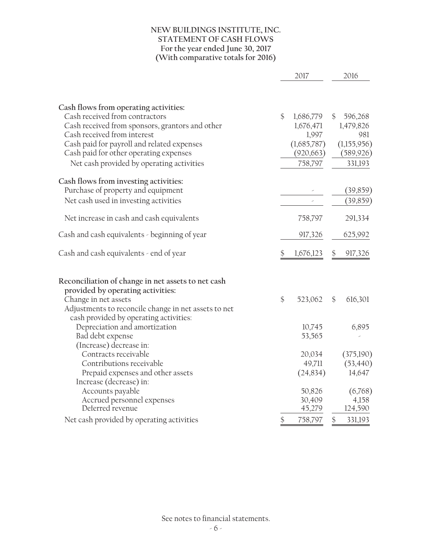### **NEW BUILDINGS INSTITUTE, INC. STATEMENT OF CASH FLOWS For the year ended June 30, 2017 (With comparative totals for 2016)**

|                                                                                                                            |               | 2017                               | 2016                             |
|----------------------------------------------------------------------------------------------------------------------------|---------------|------------------------------------|----------------------------------|
|                                                                                                                            |               |                                    |                                  |
| Cash flows from operating activities:<br>Cash received from contractors<br>Cash received from sponsors, grantors and other | $\mathcal{S}$ | 1,686,779<br>1,676,471             | \$<br>596,268<br>1,479,826       |
| Cash received from interest<br>Cash paid for payroll and related expenses<br>Cash paid for other operating expenses        |               | 1,997<br>(1,685,787)<br>(920, 663) | 981<br>(1,155,956)<br>(589, 926) |
| Net cash provided by operating activities                                                                                  |               | 758,797                            | 331,193                          |
| Cash flows from investing activities:                                                                                      |               |                                    |                                  |
| Purchase of property and equipment                                                                                         |               |                                    | (39, 859)                        |
| Net cash used in investing activities                                                                                      |               |                                    | (39, 859)                        |
| Net increase in cash and cash equivalents                                                                                  |               | 758,797                            | 291,334                          |
| Cash and cash equivalents - beginning of year                                                                              |               | 917,326                            | 625,992                          |
| Cash and cash equivalents - end of year                                                                                    |               | 1,676,123                          | 917,326                          |
| Reconciliation of change in net assets to net cash                                                                         |               |                                    |                                  |
| provided by operating activities:                                                                                          |               |                                    |                                  |
| Change in net assets                                                                                                       | $\frac{6}{5}$ | 523,062                            | \$<br>616,301                    |
| Adjustments to reconcile change in net assets to net                                                                       |               |                                    |                                  |
| cash provided by operating activities:                                                                                     |               |                                    |                                  |
| Depreciation and amortization                                                                                              |               | 10,745                             | 6,895                            |
| Bad debt expense<br>(Increase) decrease in:                                                                                |               | 53,565                             |                                  |
| Contracts receivable                                                                                                       |               | 20,034                             | (375,190)                        |
| Contributions receivable                                                                                                   |               | 49,711                             | (53, 440)                        |
| Prepaid expenses and other assets                                                                                          |               | (24,834)                           | 14,647                           |
| Increase (decrease) in:                                                                                                    |               |                                    |                                  |
| Accounts payable                                                                                                           |               | 50,826                             | (6,768)                          |
| Accrued personnel expenses                                                                                                 |               | 30,409                             | 4,158                            |
| Deferred revenue                                                                                                           |               | 45,279                             | 124,590                          |
| Net cash provided by operating activities                                                                                  | \$            | 758,797                            | \$<br>331,193                    |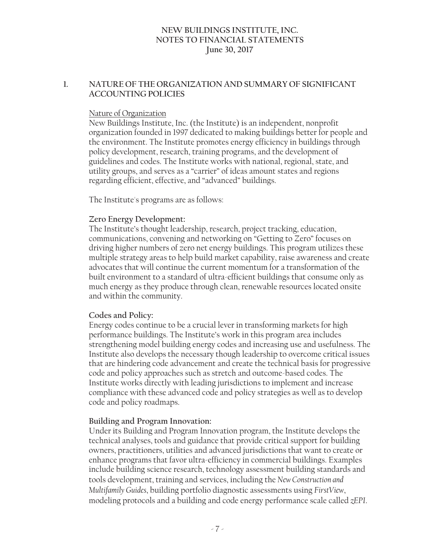# **1. NATURE OF THE ORGANIZATION AND SUMMARY OF SIGNIFICANT ACCOUNTING POLICIES**

#### Nature of Organization

New Buildings Institute, Inc. (the Institute) is an independent, nonprofit organization founded in 1997 dedicated to making buildings better for people and the environment. The Institute promotes energy efficiency in buildings through policy development, research, training programs, and the development of guidelines and codes. The Institute works with national, regional, state, and utility groups, and serves as a "carrier" of ideas amount states and regions regarding efficient, effective, and "advanced" buildings.

The Institute's programs are as follows:

#### **Zero Energy Development:**

The Institute's thought leadership, research, project tracking, education, communications, convening and networking on "Getting to Zero" focuses on driving higher numbers of zero net energy buildings. This program utilizes these multiple strategy areas to help build market capability, raise awareness and create advocates that will continue the current momentum for a transformation of the built environment to a standard of ultra-efficient buildings that consume only as much energy as they produce through clean, renewable resources located onsite and within the community.

#### **Codes and Policy:**

Energy codes continue to be a crucial lever in transforming markets for high performance buildings. The Institute's work in this program area includes strengthening model building energy codes and increasing use and usefulness. The Institute also develops the necessary though leadership to overcome critical issues that are hindering code advancement and create the technical basis for progressive code and policy approaches such as stretch and outcome-based codes. The Institute works directly with leading jurisdictions to implement and increase compliance with these advanced code and policy strategies as well as to develop code and policy roadmaps.

#### **Building and Program Innovation:**

Under its Building and Program Innovation program, the Institute develops the technical analyses, tools and guidance that provide critical support for building owners, practitioners, utilities and advanced jurisdictions that want to create or enhance programs that favor ultra-efficiency in commercial buildings. Examples include building science research, technology assessment building standards and tools development, training and services, including the *New Construction and Multifamily Guides*, building portfolio diagnostic assessments using *FirstView*, modeling protocols and a building and code energy performance scale called *zEPI*.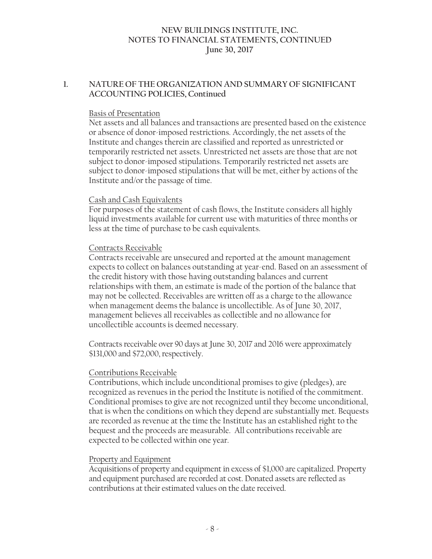# **1. NATURE OF THE ORGANIZATION AND SUMMARY OF SIGNIFICANT ACCOUNTING POLICIES, Continued**

#### Basis of Presentation

Net assets and all balances and transactions are presented based on the existence or absence of donor-imposed restrictions. Accordingly, the net assets of the Institute and changes therein are classified and reported as unrestricted or temporarily restricted net assets. Unrestricted net assets are those that are not subject to donor-imposed stipulations. Temporarily restricted net assets are subject to donor-imposed stipulations that will be met, either by actions of the Institute and/or the passage of time.

#### Cash and Cash Equivalents

For purposes of the statement of cash flows, the Institute considers all highly liquid investments available for current use with maturities of three months or less at the time of purchase to be cash equivalents.

#### Contracts Receivable

Contracts receivable are unsecured and reported at the amount management expects to collect on balances outstanding at year-end. Based on an assessment of the credit history with those having outstanding balances and current relationships with them, an estimate is made of the portion of the balance that may not be collected. Receivables are written off as a charge to the allowance when management deems the balance is uncollectible. As of June 30, 2017, management believes all receivables as collectible and no allowance for uncollectible accounts is deemed necessary.

Contracts receivable over 90 days at June 30, 2017 and 2016 were approximately \$131,000 and \$72,000, respectively.

#### Contributions Receivable

Contributions, which include unconditional promises to give (pledges), are recognized as revenues in the period the Institute is notified of the commitment. Conditional promises to give are not recognized until they become unconditional, that is when the conditions on which they depend are substantially met. Bequests are recorded as revenue at the time the Institute has an established right to the bequest and the proceeds are measurable. All contributions receivable are expected to be collected within one year.

#### Property and Equipment

Acquisitions of property and equipment in excess of \$1,000 are capitalized. Property and equipment purchased are recorded at cost. Donated assets are reflected as contributions at their estimated values on the date received.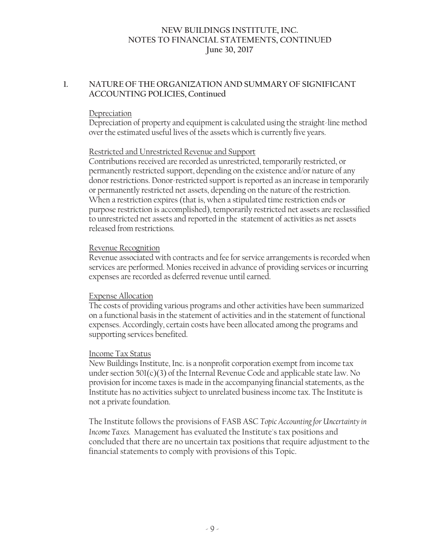# **1. NATURE OF THE ORGANIZATION AND SUMMARY OF SIGNIFICANT ACCOUNTING POLICIES, Continued**

#### Depreciation

Depreciation of property and equipment is calculated using the straight-line method over the estimated useful lives of the assets which is currently five years.

#### Restricted and Unrestricted Revenue and Support

Contributions received are recorded as unrestricted, temporarily restricted, or permanently restricted support, depending on the existence and/or nature of any donor restrictions. Donor-restricted support is reported as an increase in temporarily or permanently restricted net assets, depending on the nature of the restriction. When a restriction expires (that is, when a stipulated time restriction ends or purpose restriction is accomplished), temporarily restricted net assets are reclassified to unrestricted net assets and reported in the statement of activities as net assets released from restrictions.

#### Revenue Recognition

Revenue associated with contracts and fee for service arrangements is recorded when services are performed. Monies received in advance of providing services or incurring expenses are recorded as deferred revenue until earned.

#### Expense Allocation

The costs of providing various programs and other activities have been summarized on a functional basis in the statement of activities and in the statement of functional expenses. Accordingly, certain costs have been allocated among the programs and supporting services benefited.

#### Income Tax Status

New Buildings Institute, Inc. is a nonprofit corporation exempt from income tax under section  $501(c)(3)$  of the Internal Revenue Code and applicable state law. No provision for income taxes is made in the accompanying financial statements, as the Institute has no activities subject to unrelated business income tax. The Institute is not a private foundation.

The Institute follows the provisions of FASB ASC *Topic Accounting for Uncertainty in Income Taxes.* Management has evaluated the Institute's tax positions and concluded that there are no uncertain tax positions that require adjustment to the financial statements to comply with provisions of this Topic.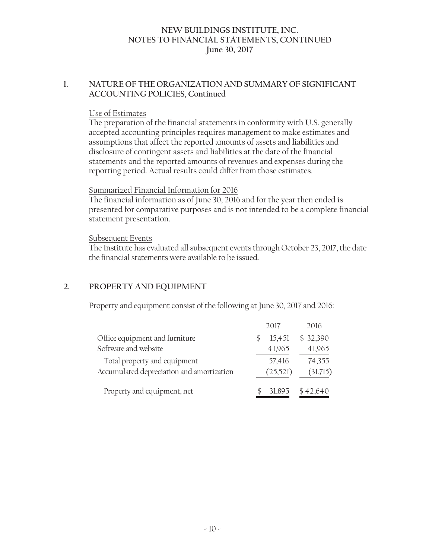# **1. NATURE OF THE ORGANIZATION AND SUMMARY OF SIGNIFICANT ACCOUNTING POLICIES, Continued**

### Use of Estimates

The preparation of the financial statements in conformity with U.S. generally accepted accounting principles requires management to make estimates and assumptions that affect the reported amounts of assets and liabilities and disclosure of contingent assets and liabilities at the date of the financial statements and the reported amounts of revenues and expenses during the reporting period. Actual results could differ from those estimates.

# Summarized Financial Information for 2016

The financial information as of June 30, 2016 and for the year then ended is presented for comparative purposes and is not intended to be a complete financial statement presentation.

# Subsequent Events

The Institute has evaluated all subsequent events through October 23, 2017, the date the financial statements were available to be issued.

# **2. PROPERTY AND EQUIPMENT**

Property and equipment consist of the following at June 30, 2017 and 2016:

|                                           | 2017     | 2016     |
|-------------------------------------------|----------|----------|
| Office equipment and furniture            | 15,451   | \$32,390 |
| Software and website                      | 41,965   | 41,965   |
| Total property and equipment              | 57,416   | 74,355   |
| Accumulated depreciation and amortization | (25,521) | (31,715) |
| Property and equipment, net               | 31,895   | \$42,640 |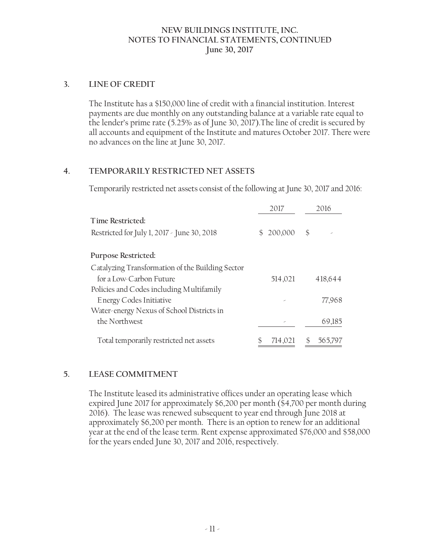# **3. LINE OF CREDIT**

The Institute has a \$150,000 line of credit with a financial institution. Interest payments are due monthly on any outstanding balance at a variable rate equal to the lender's prime rate (5.25% as of June 30, 2017).The line of credit is secured by all accounts and equipment of the Institute and matures October 2017. There were no advances on the line at June 30, 2017.

# **4. TEMPORARILY RESTRICTED NET ASSETS**

Temporarily restricted net assets consist of the following at June 30, 2017 and 2016:

|                                                  | 2017                     | 2016          |
|--------------------------------------------------|--------------------------|---------------|
| Time Restricted:                                 |                          |               |
| Restricted for July 1, 2017 - June 30, 2018      | 200,000<br>$\mathcal{S}$ | \$            |
| Purpose Restricted:                              |                          |               |
| Catalyzing Transformation of the Building Sector |                          |               |
| for a Low-Carbon Future                          | 514,021                  | 418,644       |
| Policies and Codes including Multifamily         |                          |               |
| Energy Codes Initiative                          |                          | 77,968        |
| Water-energy Nexus of School Districts in        |                          |               |
| the Northwest                                    |                          | 69,185        |
| Total temporarily restricted net assets          | 714,021                  | \$<br>565,797 |

# **5. LEASE COMMITMENT**

The Institute leased its administrative offices under an operating lease which expired June 2017 for approximately \$6,200 per month (\$4,700 per month during 2016). The lease was renewed subsequent to year end through June 2018 at approximately \$6,200 per month. There is an option to renew for an additional year at the end of the lease term. Rent expense approximated \$76,000 and \$58,000 for the years ended June 30, 2017 and 2016, respectively.